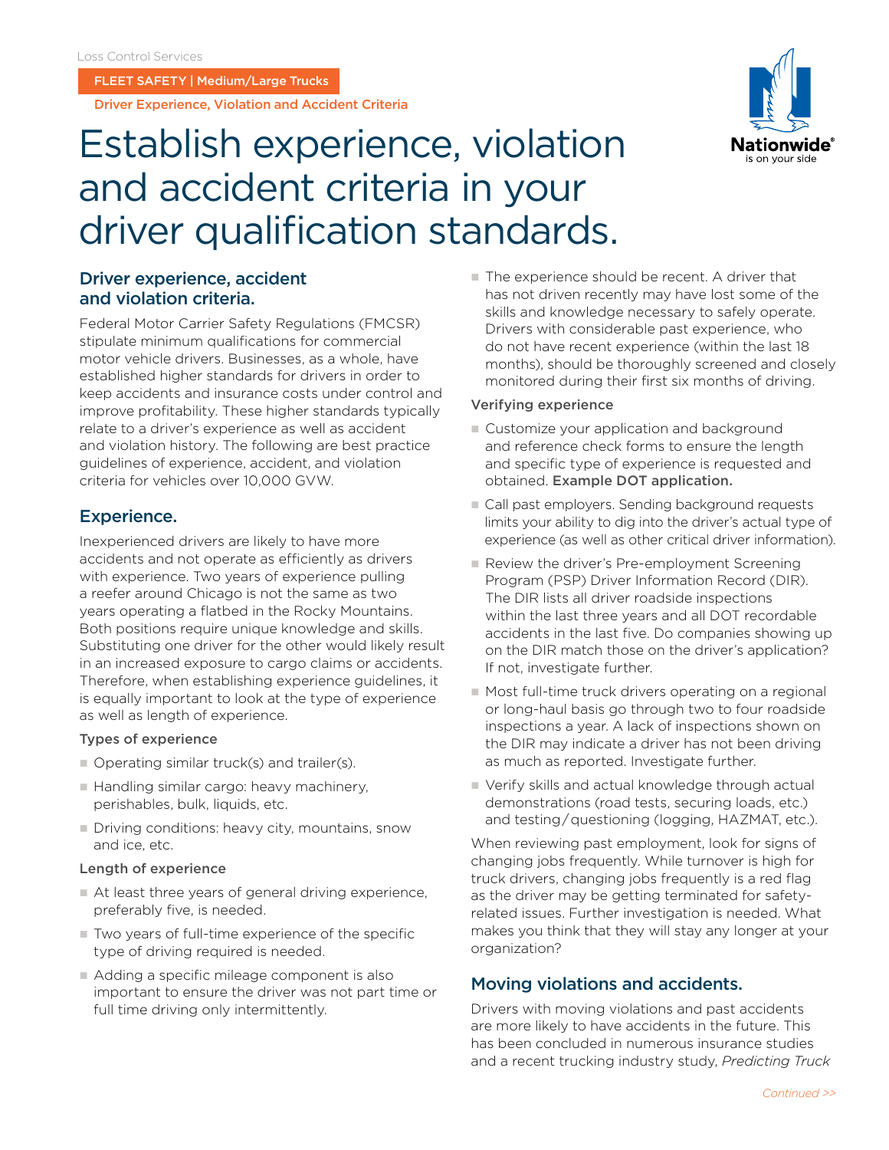FLEET SAFETY | Medium/Large Trucks

Driver Experience, Violation and Accident Criteria

# Establish experience, violation and accident criteria in your driver qualification standards.

## and violation criteria.

Federal Motor Carrier Safety Regulations (FMCSR) stipulate minimum qualifications for commercial motor vehicle drivers. Businesses, as a whole, have established higher standards for drivers in order to keep accidents and insurance costs under control and improve profitability. These higher standards typically relate to a driver's experience as well as accident and violation history. The following are best practice guidelines of experience, accident, and violation criteria for vehicles over 10,000 GVW.

## Experience.

Inexperienced drivers are likely to have more accidents and not operate as efficiently as drivers with experience. Two years of experience pulling a reefer around Chicago is not the same as two years operating a flatbed in the Rocky Mountains. Both positions require unique knowledge and skills. Substituting one driver for the other would likely result in an increased exposure to cargo claims or accidents. Therefore, when establishing experience guidelines, it is equally important to look at the type of experience as well as length of experience.

#### Types of experience

- $\Box$  Operating similar truck(s) and trailer(s).
- Handling similar cargo: heavy machinery, perishables, bulk, liquids, etc.
- $\blacksquare$  Driving conditions: heavy city, mountains, snow and ice, etc.

#### Length of experience

- $\blacksquare$  At least three years of general driving experience, preferably five, is needed.
- $\blacksquare$  Two years of full-time experience of the specific type of driving required is needed.
- Adding a specific mileage component is also important to ensure the driver was not part time or full time driving only intermittently.

**Driver experience, accident** n The experience should be recent. A driver that has not driven recently may have lost some of the skills and knowledge necessary to safely operate. Drivers with considerable past experience, who do not have recent experience (within the last 18 months), should be thoroughly screened and closely monitored during their first six months of driving.

#### Verifying experience

- $\blacksquare$  Customize your application and background and reference check forms to ensure the length and specific type of experience is requested and obtained. [Example DOT application.](https://csa.fmcsa.dot.gov/SafetyPlanner/documents/Forms/Drivers_Employment_Application_508.pdf
)
- Call past employers. Sending background requests limits your ability to dig into the driver's actual type of experience (as well as other critical driver information).
- **Review the driver's Pre-employment Screening** Program (PSP) Driver Information Record (DIR). The DIR lists all driver roadside inspections within the last three years and all DOT recordable accidents in the last five. Do companies showing up on the DIR match those on the driver's application? If not, investigate further.
- $\blacksquare$  Most full-time truck drivers operating on a regional or long-haul basis go through two to four roadside inspections a year. A lack of inspections shown on the DIR may indicate a driver has not been driving as much as reported. Investigate further.
- Verify skills and actual knowledge through actual demonstrations (road tests, securing loads, etc.) and testing / questioning (logging, HAZMAT, etc.).

When reviewing past employment, look for signs of changing jobs frequently. While turnover is high for truck drivers, changing jobs frequently is a red flag as the driver may be getting terminated for safetyrelated issues. Further investigation is needed. What makes you think that they will stay any longer at your organization?

### Moving violations and accidents.

Drivers with moving violations and past accidents are more likely to have accidents in the future. This has been concluded in numerous insurance studies and a recent trucking industry study, *Predicting Truck*